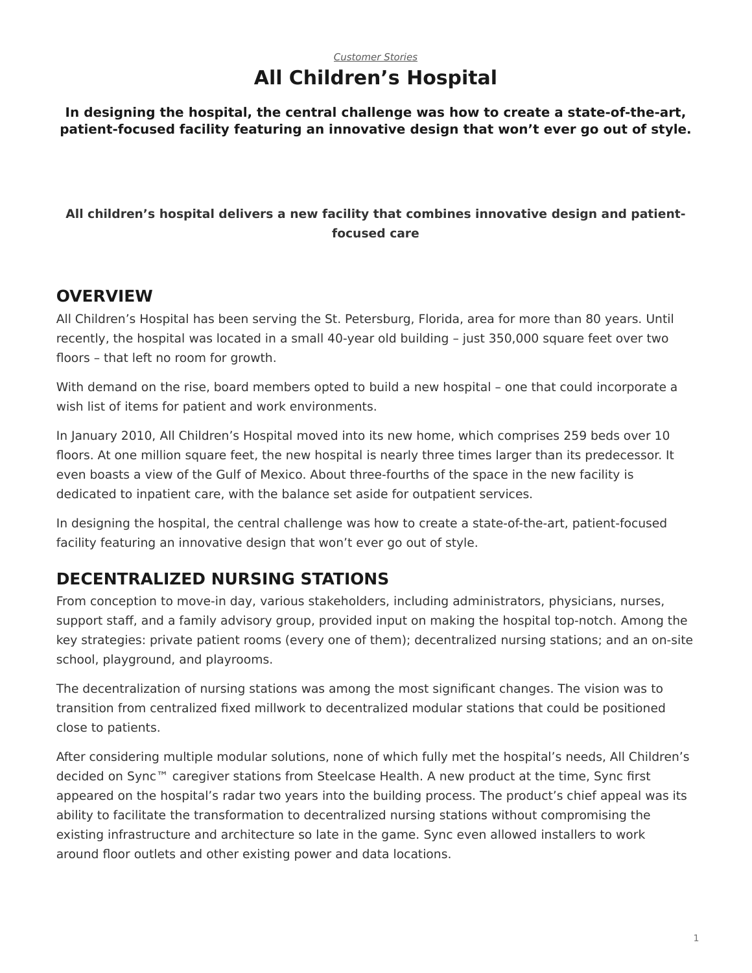### *[Customer Stories](https://www.steelcase.com/asia-en/research/topics/customer-stories/)* **All Children's Hospital**

**In designing the hospital, the central challenge was how to create a state-of-the-art, patient-focused facility featuring an innovative design that won't ever go out of style.**

### **All children's hospital delivers a new facility that combines innovative design and patientfocused care**

### **OVERVIEW**

All Children's Hospital has been serving the St. Petersburg, Florida, area for more than 80 years. Until recently, the hospital was located in a small 40-year old building – just 350,000 square feet over two floors – that left no room for growth.

With demand on the rise, board members opted to build a new hospital – one that could incorporate a wish list of items for patient and work environments.

In January 2010, All Children's Hospital moved into its new home, which comprises 259 beds over 10 floors. At one million square feet, the new hospital is nearly three times larger than its predecessor. It even boasts a view of the Gulf of Mexico. About three-fourths of the space in the new facility is dedicated to inpatient care, with the balance set aside for outpatient services.

In designing the hospital, the central challenge was how to create a state-of-the-art, patient-focused facility featuring an innovative design that won't ever go out of style.

## **DECENTRALIZED NURSING STATIONS**

From conception to move-in day, various stakeholders, including administrators, physicians, nurses, support staff, and a family advisory group, provided input on making the hospital top-notch. Among the key strategies: private patient rooms (every one of them); decentralized nursing stations; and an on-site school, playground, and playrooms.

The decentralization of nursing stations was among the most significant changes. The vision was to transition from centralized fixed millwork to decentralized modular stations that could be positioned close to patients.

After considering multiple modular solutions, none of which fully met the hospital's needs, All Children's decided on Sync™ caregiver stations from Steelcase Health. A new product at the time, Sync first appeared on the hospital's radar two years into the building process. The product's chief appeal was its ability to facilitate the transformation to decentralized nursing stations without compromising the existing infrastructure and architecture so late in the game. Sync even allowed installers to work around floor outlets and other existing power and data locations.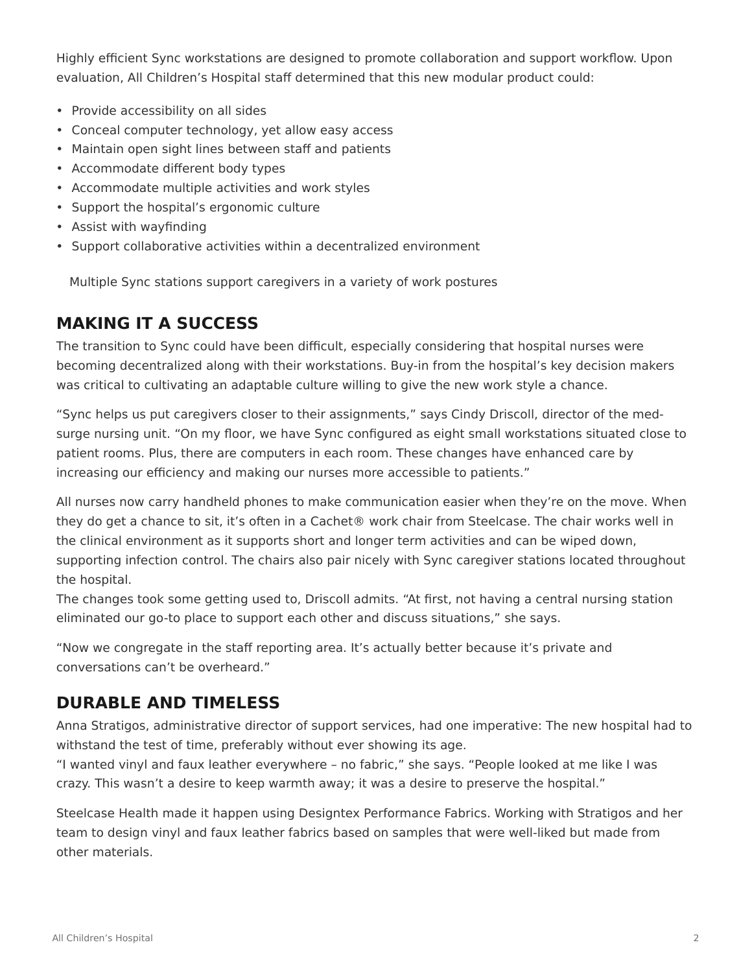Highly efficient Sync workstations are designed to promote collaboration and support workflow. Upon evaluation, All Children's Hospital staff determined that this new modular product could:

- Provide accessibility on all sides
- Conceal computer technology, yet allow easy access
- Maintain open sight lines between staff and patients
- Accommodate different body types
- Accommodate multiple activities and work styles
- Support the hospital's ergonomic culture
- Assist with wayfinding
- Support collaborative activities within a decentralized environment

Multiple Sync stations support caregivers in a variety of work postures

## **MAKING IT A SUCCESS**

The transition to Sync could have been difficult, especially considering that hospital nurses were becoming decentralized along with their workstations. Buy-in from the hospital's key decision makers was critical to cultivating an adaptable culture willing to give the new work style a chance.

"Sync helps us put caregivers closer to their assignments," says Cindy Driscoll, director of the medsurge nursing unit. "On my floor, we have Sync configured as eight small workstations situated close to patient rooms. Plus, there are computers in each room. These changes have enhanced care by increasing our efficiency and making our nurses more accessible to patients."

All nurses now carry handheld phones to make communication easier when they're on the move. When they do get a chance to sit, it's often in a Cachet® work chair from Steelcase. The chair works well in the clinical environment as it supports short and longer term activities and can be wiped down, supporting infection control. The chairs also pair nicely with Sync caregiver stations located throughout the hospital.

The changes took some getting used to, Driscoll admits. "At first, not having a central nursing station eliminated our go-to place to support each other and discuss situations," she says.

"Now we congregate in the staff reporting area. It's actually better because it's private and conversations can't be overheard."

## **DURABLE AND TIMELESS**

Anna Stratigos, administrative director of support services, had one imperative: The new hospital had to withstand the test of time, preferably without ever showing its age.

"I wanted vinyl and faux leather everywhere – no fabric," she says. "People looked at me like I was crazy. This wasn't a desire to keep warmth away; it was a desire to preserve the hospital."

Steelcase Health made it happen using Designtex Performance Fabrics. Working with Stratigos and her team to design vinyl and faux leather fabrics based on samples that were well-liked but made from other materials.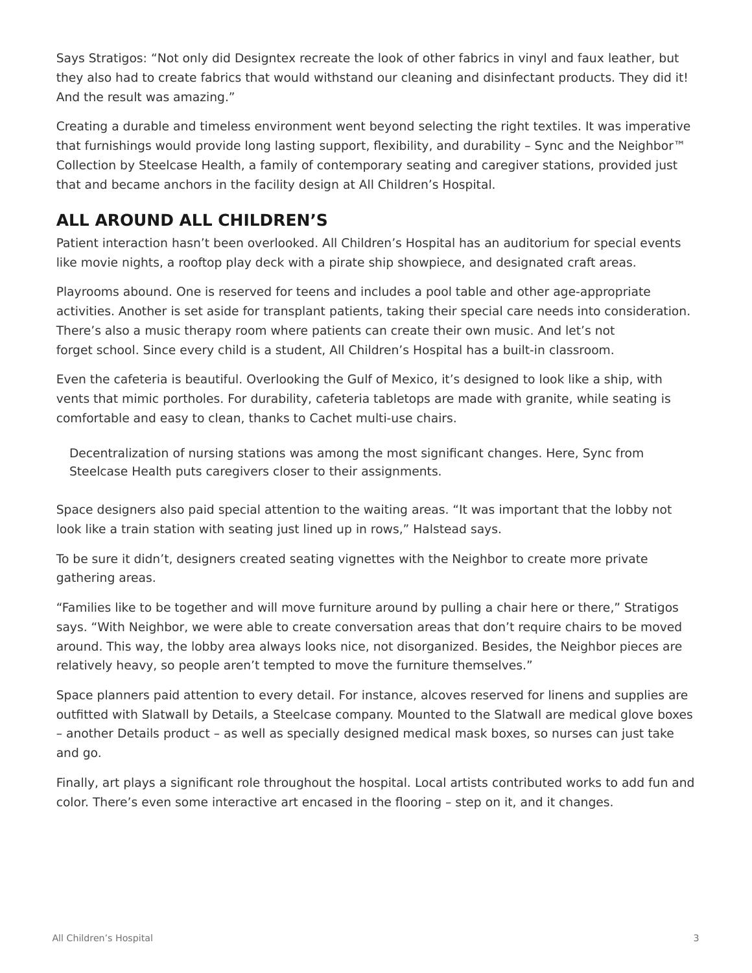Says Stratigos: "Not only did Designtex recreate the look of other fabrics in vinyl and faux leather, but they also had to create fabrics that would withstand our cleaning and disinfectant products. They did it! And the result was amazing."

Creating a durable and timeless environment went beyond selecting the right textiles. It was imperative that furnishings would provide long lasting support, flexibility, and durability – Sync and the Neighbor™ Collection by Steelcase Health, a family of contemporary seating and caregiver stations, provided just that and became anchors in the facility design at All Children's Hospital.

## **ALL AROUND ALL CHILDREN'S**

Patient interaction hasn't been overlooked. All Children's Hospital has an auditorium for special events like movie nights, a rooftop play deck with a pirate ship showpiece, and designated craft areas.

Playrooms abound. One is reserved for teens and includes a pool table and other age-appropriate activities. Another is set aside for transplant patients, taking their special care needs into consideration. There's also a music therapy room where patients can create their own music. And let's not forget school. Since every child is a student, All Children's Hospital has a built-in classroom.

Even the cafeteria is beautiful. Overlooking the Gulf of Mexico, it's designed to look like a ship, with vents that mimic portholes. For durability, cafeteria tabletops are made with granite, while seating is comfortable and easy to clean, thanks to Cachet multi-use chairs.

Decentralization of nursing stations was among the most significant changes. Here, Sync from Steelcase Health puts caregivers closer to their assignments.

Space designers also paid special attention to the waiting areas. "It was important that the lobby not look like a train station with seating just lined up in rows," Halstead says.

To be sure it didn't, designers created seating vignettes with the Neighbor to create more private gathering areas.

"Families like to be together and will move furniture around by pulling a chair here or there," Stratigos says. "With Neighbor, we were able to create conversation areas that don't require chairs to be moved around. This way, the lobby area always looks nice, not disorganized. Besides, the Neighbor pieces are relatively heavy, so people aren't tempted to move the furniture themselves."

Space planners paid attention to every detail. For instance, alcoves reserved for linens and supplies are outfitted with Slatwall by Details, a Steelcase company. Mounted to the Slatwall are medical glove boxes – another Details product – as well as specially designed medical mask boxes, so nurses can just take and go.

Finally, art plays a significant role throughout the hospital. Local artists contributed works to add fun and color. There's even some interactive art encased in the flooring – step on it, and it changes.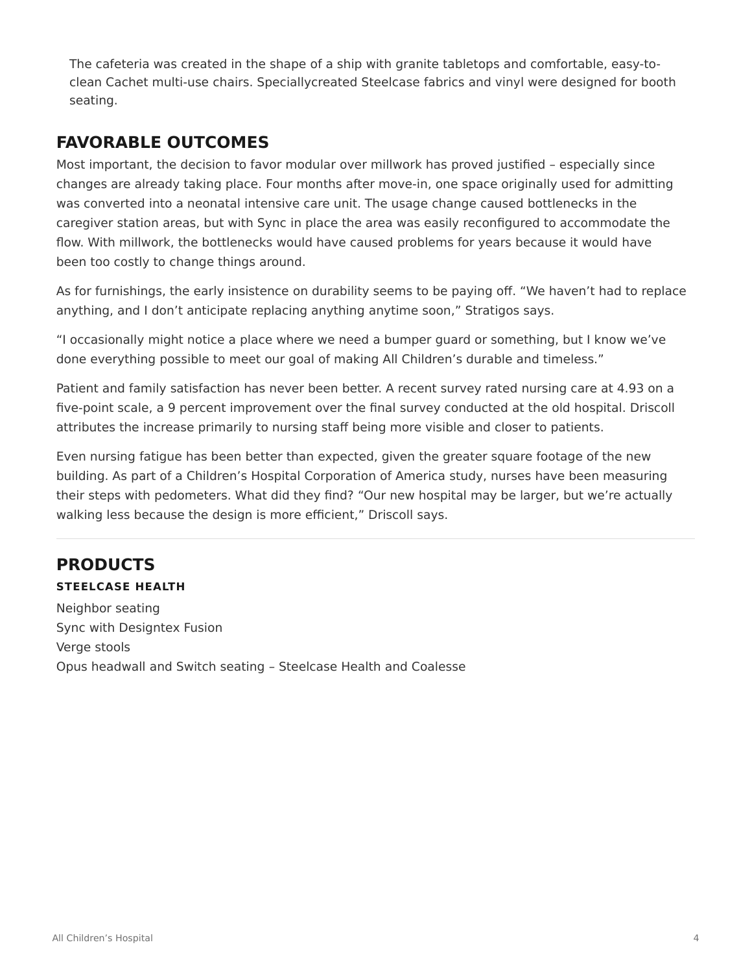The cafeteria was created in the shape of a ship with granite tabletops and comfortable, easy-toclean Cachet multi-use chairs. Speciallycreated Steelcase fabrics and vinyl were designed for booth seating.

## **FAVORABLE OUTCOMES**

Most important, the decision to favor modular over millwork has proved justified – especially since changes are already taking place. Four months after move-in, one space originally used for admitting was converted into a neonatal intensive care unit. The usage change caused bottlenecks in the caregiver station areas, but with Sync in place the area was easily reconfigured to accommodate the flow. With millwork, the bottlenecks would have caused problems for years because it would have been too costly to change things around.

As for furnishings, the early insistence on durability seems to be paying off. "We haven't had to replace anything, and I don't anticipate replacing anything anytime soon," Stratigos says.

"I occasionally might notice a place where we need a bumper guard or something, but I know we've done everything possible to meet our goal of making All Children's durable and timeless."

Patient and family satisfaction has never been better. A recent survey rated nursing care at 4.93 on a five-point scale, a 9 percent improvement over the final survey conducted at the old hospital. Driscoll attributes the increase primarily to nursing staff being more visible and closer to patients.

Even nursing fatigue has been better than expected, given the greater square footage of the new building. As part of a Children's Hospital Corporation of America study, nurses have been measuring their steps with pedometers. What did they find? "Our new hospital may be larger, but we're actually walking less because the design is more efficient," Driscoll says.

# **PRODUCTS**

#### **STEELCASE HEALTH**

Neighbor seating Sync with Designtex Fusion Verge stools Opus headwall and Switch seating – Steelcase Health and Coalesse